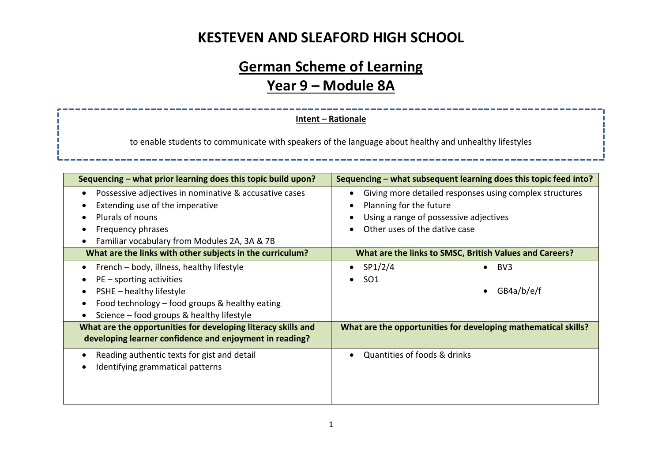#### **KESTEVEN AND SLEAFORD HIGH SCHOOL**

# **German Scheme of Learning Year 9 – Module 8A**

**Intent – Rationale**

to enable students to communicate with speakers of the language about healthy and unhealthy lifestyles

| Sequencing – what prior learning does this topic build upon?                                                                                                                                                    | Sequencing - what subsequent learning does this topic feed into?                                                                                              |  |  |
|-----------------------------------------------------------------------------------------------------------------------------------------------------------------------------------------------------------------|---------------------------------------------------------------------------------------------------------------------------------------------------------------|--|--|
| Possessive adjectives in nominative & accusative cases<br>$\bullet$<br>Extending use of the imperative<br><b>Plurals of nouns</b><br>Frequency phrases<br>Familiar vocabulary from Modules 2A, 3A & 7B          | Giving more detailed responses using complex structures<br>Planning for the future<br>Using a range of possessive adjectives<br>Other uses of the dative case |  |  |
| What are the links with other subjects in the curriculum?                                                                                                                                                       | What are the links to SMSC, British Values and Careers?                                                                                                       |  |  |
| French – body, illness, healthy lifestyle<br>$\bullet$<br>$PE$ – sporting activities<br>PSHE - healthy lifestyle<br>Food technology - food groups & healthy eating<br>Science – food groups & healthy lifestyle | SP1/2/4<br>BV3<br>SO <sub>1</sub><br>GB4a/b/e/f<br>$\bullet$                                                                                                  |  |  |
| What are the opportunities for developing literacy skills and<br>developing learner confidence and enjoyment in reading?                                                                                        | What are the opportunities for developing mathematical skills?                                                                                                |  |  |
| Reading authentic texts for gist and detail<br>Identifying grammatical patterns                                                                                                                                 | Quantities of foods & drinks                                                                                                                                  |  |  |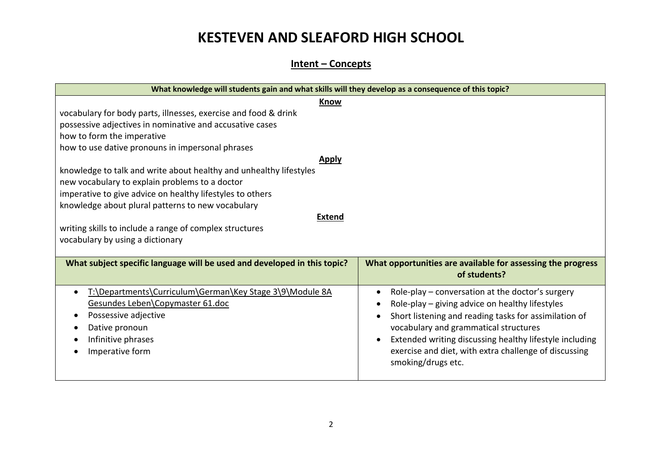### **KESTEVEN AND SLEAFORD HIGH SCHOOL**

#### **Intent – Concepts**

|                                                                                                                                                                                   | What knowledge will students gain and what skills will they develop as a consequence of this topic? |  |  |  |
|-----------------------------------------------------------------------------------------------------------------------------------------------------------------------------------|-----------------------------------------------------------------------------------------------------|--|--|--|
| <b>Know</b>                                                                                                                                                                       |                                                                                                     |  |  |  |
| vocabulary for body parts, illnesses, exercise and food & drink<br>possessive adjectives in nominative and accusative cases<br>how to form the imperative                         |                                                                                                     |  |  |  |
| how to use dative pronouns in impersonal phrases                                                                                                                                  |                                                                                                     |  |  |  |
| <b>Apply</b>                                                                                                                                                                      |                                                                                                     |  |  |  |
| knowledge to talk and write about healthy and unhealthy lifestyles<br>new vocabulary to explain problems to a doctor<br>imperative to give advice on healthy lifestyles to others |                                                                                                     |  |  |  |
| knowledge about plural patterns to new vocabulary                                                                                                                                 |                                                                                                     |  |  |  |
| <b>Extend</b>                                                                                                                                                                     |                                                                                                     |  |  |  |
| writing skills to include a range of complex structures                                                                                                                           |                                                                                                     |  |  |  |
| vocabulary by using a dictionary                                                                                                                                                  |                                                                                                     |  |  |  |
|                                                                                                                                                                                   |                                                                                                     |  |  |  |
| What subject specific language will be used and developed in this topic?                                                                                                          | What opportunities are available for assessing the progress                                         |  |  |  |
|                                                                                                                                                                                   | of students?                                                                                        |  |  |  |